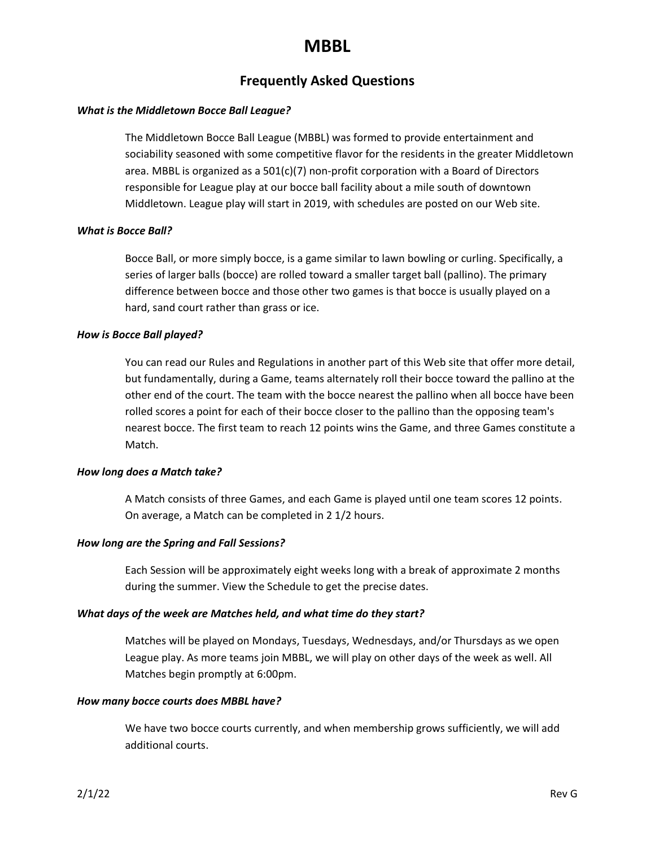# **MBBL**

## **Frequently Asked Questions**

## *What is the Middletown Bocce Ball League?*

The Middletown Bocce Ball League (MBBL) was formed to provide entertainment and sociability seasoned with some competitive flavor for the residents in the greater Middletown area. MBBL is organized as a 501(c)(7) non-profit corporation with a Board of Directors responsible for League play at our bocce ball facility about a mile south of downtown Middletown. League play will start in 2019, with schedules are posted on our Web site.

## *What is Bocce Ball?*

Bocce Ball, or more simply bocce, is a game similar to lawn bowling or curling. Specifically, a series of larger balls (bocce) are rolled toward a smaller target ball (pallino). The primary difference between bocce and those other two games is that bocce is usually played on a hard, sand court rather than grass or ice.

## *How is Bocce Ball played?*

You can read our Rules and Regulations in another part of this Web site that offer more detail, but fundamentally, during a Game, teams alternately roll their bocce toward the pallino at the other end of the court. The team with the bocce nearest the pallino when all bocce have been rolled scores a point for each of their bocce closer to the pallino than the opposing team's nearest bocce. The first team to reach 12 points wins the Game, and three Games constitute a Match.

## *How long does a Match take?*

A Match consists of three Games, and each Game is played until one team scores 12 points. On average, a Match can be completed in 2 1/2 hours.

## *How long are the Spring and Fall Sessions?*

Each Session will be approximately eight weeks long with a break of approximate 2 months during the summer. View the Schedule to get the precise dates.

## *What days of the week are Matches held, and what time do they start?*

Matches will be played on Mondays, Tuesdays, Wednesdays, and/or Thursdays as we open League play. As more teams join MBBL, we will play on other days of the week as well. All Matches begin promptly at 6:00pm.

## *How many bocce courts does MBBL have?*

We have two bocce courts currently, and when membership grows sufficiently, we will add additional courts.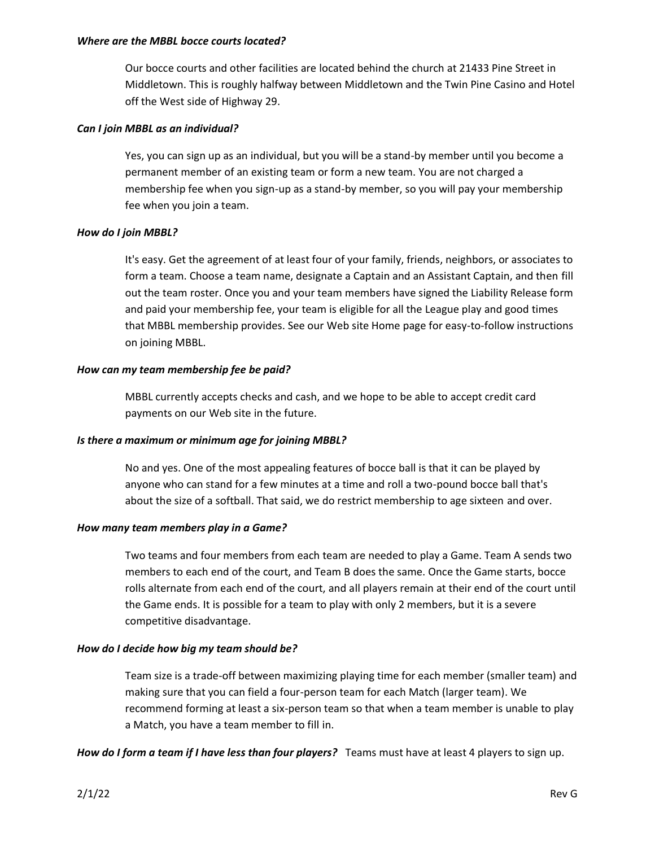## *Where are the MBBL bocce courts located?*

Our bocce courts and other facilities are located behind the church at 21433 Pine Street in Middletown. This is roughly halfway between Middletown and the Twin Pine Casino and Hotel off the West side of Highway 29.

## *Can I join MBBL as an individual?*

Yes, you can sign up as an individual, but you will be a stand-by member until you become a permanent member of an existing team or form a new team. You are not charged a membership fee when you sign-up as a stand-by member, so you will pay your membership fee when you join a team.

## *How do I join MBBL?*

It's easy. Get the agreement of at least four of your family, friends, neighbors, or associates to form a team. Choose a team name, designate a Captain and an Assistant Captain, and then fill out the team roster. Once you and your team members have signed the Liability Release form and paid your membership fee, your team is eligible for all the League play and good times that MBBL membership provides. See our Web site Home page for easy-to-follow instructions on joining MBBL.

## *How can my team membership fee be paid?*

MBBL currently accepts checks and cash, and we hope to be able to accept credit card payments on our Web site in the future.

## *Is there a maximum or minimum age for joining MBBL?*

No and yes. One of the most appealing features of bocce ball is that it can be played by anyone who can stand for a few minutes at a time and roll a two-pound bocce ball that's about the size of a softball. That said, we do restrict membership to age sixteen and over.

## *How many team members play in a Game?*

Two teams and four members from each team are needed to play a Game. Team A sends two members to each end of the court, and Team B does the same. Once the Game starts, bocce rolls alternate from each end of the court, and all players remain at their end of the court until the Game ends. It is possible for a team to play with only 2 members, but it is a severe competitive disadvantage.

## *How do I decide how big my team should be?*

Team size is a trade-off between maximizing playing time for each member (smaller team) and making sure that you can field a four-person team for each Match (larger team). We recommend forming at least a six-person team so that when a team member is unable to play a Match, you have a team member to fill in.

*How do I form a team if I have less than four players?* Teams must have at least 4 players to sign up.